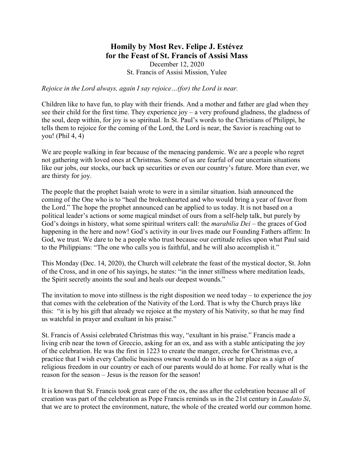## **Homily by Most Rev. Felipe J. Estévez for the Feast of St. Francis of Assisi Mass**  December 12, 2020 St. Francis of Assisi Mission, Yulee

*Rejoice in the Lord always, again I say rejoice…(for) the Lord is near.* 

Children like to have fun, to play with their friends. And a mother and father are glad when they see their child for the first time. They experience joy – a very profound gladness, the gladness of the soul, deep within, for joy is so spiritual. In St. Paul's words to the Christians of Philippi, he tells them to rejoice for the coming of the Lord, the Lord is near, the Savior is reaching out to you! (Phil 4, 4)

We are people walking in fear because of the menacing pandemic. We are a people who regret not gathering with loved ones at Christmas. Some of us are fearful of our uncertain situations like our jobs, our stocks, our back up securities or even our country's future. More than ever, we are thirsty for joy.

The people that the prophet Isaiah wrote to were in a similar situation. Isiah announced the coming of the One who is to "heal the brokenhearted and who would bring a year of favor from the Lord." The hope the prophet announced can be applied to us today. It is not based on a political leader's actions or some magical mindset of ours from a self-help talk, but purely by God's doings in history, what some spiritual writers call: the *marabilia Dei* – the graces of God happening in the here and now! God's activity in our lives made our Founding Fathers affirm: In God, we trust. We dare to be a people who trust because our certitude relies upon what Paul said to the Philippians: "The one who calls you is faithful, and he will also accomplish it."

This Monday (Dec. 14, 2020), the Church will celebrate the feast of the mystical doctor, St. John of the Cross, and in one of his sayings, he states: "in the inner stillness where meditation leads, the Spirit secretly anoints the soul and heals our deepest wounds."

The invitation to move into stillness is the right disposition we need today – to experience the joy that comes with the celebration of the Nativity of the Lord. That is why the Church prays like this: "it is by his gift that already we rejoice at the mystery of his Nativity, so that he may find us watchful in prayer and exultant in his praise."

St. Francis of Assisi celebrated Christmas this way, "exultant in his praise." Francis made a living crib near the town of Greccio, asking for an ox, and ass with a stable anticipating the joy of the celebration. He was the first in 1223 to create the manger, creche for Christmas eve, a practice that I wish every Catholic business owner would do in his or her place as a sign of religious freedom in our country or each of our parents would do at home. For really what is the reason for the season – Jesus is the reason for the season!

It is known that St. Francis took great care of the ox, the ass after the celebration because all of creation was part of the celebration as Pope Francis reminds us in the 21st century in *Laudato Si*, that we are to protect the environment, nature, the whole of the created world our common home.